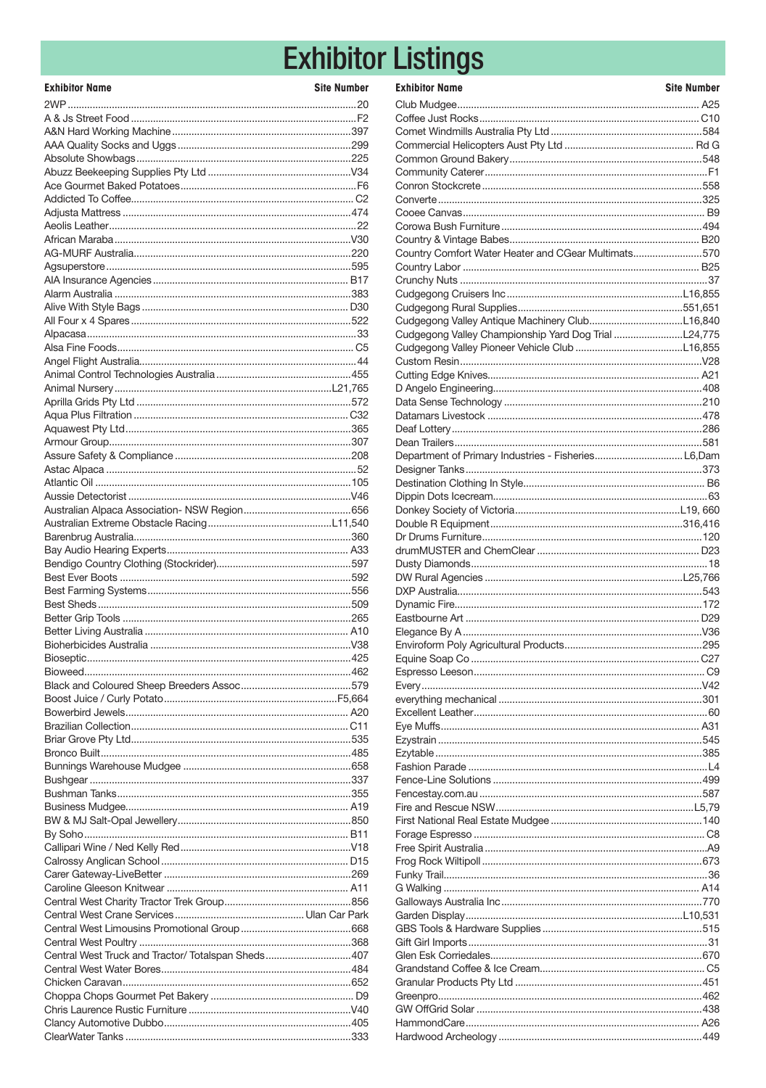# **Exhibitor Listings**

| <b>Exhibitor Name</b>                              | <b>Site Number</b> |
|----------------------------------------------------|--------------------|
|                                                    |                    |
|                                                    |                    |
|                                                    |                    |
|                                                    |                    |
|                                                    |                    |
|                                                    |                    |
|                                                    |                    |
|                                                    |                    |
|                                                    |                    |
|                                                    |                    |
|                                                    |                    |
|                                                    |                    |
|                                                    |                    |
|                                                    |                    |
|                                                    |                    |
|                                                    |                    |
|                                                    |                    |
|                                                    |                    |
|                                                    |                    |
|                                                    |                    |
|                                                    |                    |
|                                                    |                    |
|                                                    |                    |
|                                                    |                    |
|                                                    |                    |
|                                                    |                    |
|                                                    |                    |
|                                                    |                    |
|                                                    |                    |
|                                                    |                    |
|                                                    |                    |
|                                                    |                    |
|                                                    |                    |
|                                                    |                    |
|                                                    |                    |
|                                                    |                    |
|                                                    |                    |
|                                                    |                    |
|                                                    |                    |
|                                                    |                    |
|                                                    |                    |
|                                                    |                    |
|                                                    |                    |
|                                                    |                    |
|                                                    |                    |
|                                                    |                    |
|                                                    |                    |
|                                                    |                    |
|                                                    |                    |
|                                                    |                    |
|                                                    |                    |
|                                                    |                    |
|                                                    |                    |
|                                                    |                    |
|                                                    |                    |
|                                                    |                    |
|                                                    |                    |
|                                                    |                    |
|                                                    |                    |
|                                                    |                    |
| Central West Truck and Tractor/ Totalspan Sheds407 |                    |
|                                                    |                    |
|                                                    |                    |
|                                                    |                    |
|                                                    |                    |
|                                                    |                    |
|                                                    |                    |

| <b>Exhibitor Name</b>                               | <b>Site Number</b> |
|-----------------------------------------------------|--------------------|
|                                                     |                    |
|                                                     |                    |
|                                                     |                    |
|                                                     |                    |
|                                                     |                    |
|                                                     |                    |
|                                                     |                    |
|                                                     |                    |
|                                                     |                    |
|                                                     |                    |
| Country Comfort Water Heater and CGear Multimats570 |                    |
|                                                     |                    |
|                                                     |                    |
|                                                     |                    |
|                                                     |                    |
|                                                     |                    |
|                                                     |                    |
|                                                     |                    |
|                                                     |                    |
|                                                     |                    |
|                                                     |                    |
|                                                     |                    |
|                                                     |                    |
|                                                     |                    |
|                                                     |                    |
| Department of Primary Industries - FisheriesL6,Dam  |                    |
|                                                     |                    |
|                                                     |                    |
|                                                     |                    |
|                                                     |                    |
|                                                     |                    |
|                                                     |                    |
|                                                     |                    |
|                                                     |                    |
|                                                     |                    |
|                                                     |                    |
|                                                     |                    |
|                                                     |                    |
|                                                     |                    |
|                                                     |                    |
|                                                     |                    |
|                                                     |                    |
|                                                     |                    |
|                                                     |                    |
|                                                     |                    |
|                                                     |                    |
|                                                     |                    |
|                                                     |                    |
|                                                     |                    |
|                                                     |                    |
|                                                     |                    |
|                                                     |                    |
|                                                     |                    |
|                                                     |                    |
|                                                     |                    |
|                                                     |                    |
|                                                     |                    |
|                                                     |                    |
|                                                     |                    |
|                                                     |                    |
|                                                     |                    |
|                                                     |                    |
|                                                     |                    |
|                                                     |                    |
|                                                     |                    |
|                                                     |                    |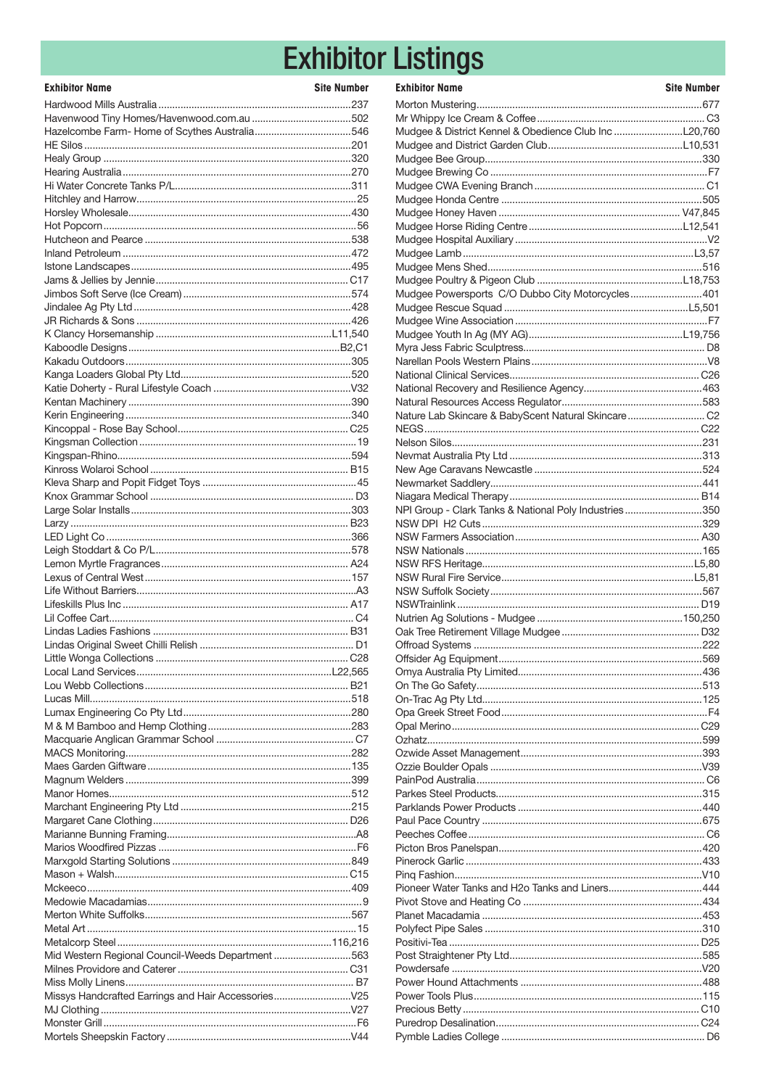# **Exhibitor Listings**

| <b>Exhibitor Name</b>                             | <b>Site Number</b> |
|---------------------------------------------------|--------------------|
|                                                   |                    |
|                                                   |                    |
|                                                   |                    |
|                                                   |                    |
|                                                   |                    |
|                                                   |                    |
|                                                   |                    |
|                                                   |                    |
|                                                   |                    |
|                                                   |                    |
|                                                   |                    |
|                                                   |                    |
|                                                   |                    |
|                                                   |                    |
|                                                   |                    |
|                                                   |                    |
|                                                   |                    |
|                                                   |                    |
|                                                   |                    |
|                                                   |                    |
|                                                   |                    |
|                                                   |                    |
|                                                   |                    |
|                                                   |                    |
|                                                   |                    |
|                                                   |                    |
|                                                   |                    |
|                                                   |                    |
|                                                   |                    |
|                                                   |                    |
|                                                   |                    |
|                                                   |                    |
|                                                   |                    |
|                                                   |                    |
|                                                   |                    |
|                                                   |                    |
|                                                   |                    |
|                                                   |                    |
|                                                   |                    |
|                                                   |                    |
|                                                   |                    |
|                                                   |                    |
|                                                   |                    |
|                                                   |                    |
|                                                   |                    |
|                                                   |                    |
|                                                   |                    |
|                                                   |                    |
|                                                   |                    |
|                                                   |                    |
|                                                   |                    |
|                                                   |                    |
|                                                   |                    |
|                                                   |                    |
|                                                   |                    |
|                                                   |                    |
|                                                   |                    |
|                                                   |                    |
|                                                   |                    |
|                                                   |                    |
| Mid Western Regional Council-Weeds Department 563 |                    |
|                                                   |                    |
|                                                   |                    |
| Missys Handcrafted Earrings and Hair Accessories  |                    |
|                                                   |                    |
|                                                   |                    |
|                                                   |                    |

| <b>Exhibitor Name</b>                                 | <b>Site Number</b> |
|-------------------------------------------------------|--------------------|
|                                                       |                    |
|                                                       |                    |
|                                                       |                    |
|                                                       |                    |
|                                                       |                    |
|                                                       |                    |
|                                                       |                    |
|                                                       |                    |
|                                                       |                    |
|                                                       |                    |
|                                                       |                    |
|                                                       |                    |
|                                                       |                    |
| Mudgee Powersports C/O Dubbo City Motorcycles401      |                    |
|                                                       |                    |
|                                                       |                    |
|                                                       |                    |
|                                                       |                    |
|                                                       |                    |
|                                                       |                    |
|                                                       |                    |
|                                                       |                    |
| Nature Lab Skincare & BabyScent Natural Skincare C2   |                    |
|                                                       |                    |
|                                                       |                    |
|                                                       |                    |
|                                                       |                    |
|                                                       |                    |
| NPI Group - Clark Tanks & National Poly Industries350 |                    |
|                                                       |                    |
|                                                       |                    |
|                                                       |                    |
|                                                       |                    |
|                                                       |                    |
|                                                       |                    |
|                                                       |                    |
|                                                       |                    |
|                                                       |                    |
|                                                       |                    |
|                                                       |                    |
|                                                       |                    |
|                                                       |                    |
|                                                       |                    |
|                                                       |                    |
|                                                       |                    |
|                                                       |                    |
|                                                       |                    |
|                                                       |                    |
|                                                       |                    |
|                                                       |                    |
|                                                       |                    |
|                                                       |                    |
|                                                       |                    |
|                                                       |                    |
|                                                       |                    |
| Pioneer Water Tanks and H2o Tanks and Liners444       |                    |
|                                                       |                    |
|                                                       |                    |
|                                                       |                    |
|                                                       |                    |
|                                                       |                    |
|                                                       |                    |
|                                                       |                    |
|                                                       |                    |
|                                                       |                    |
|                                                       |                    |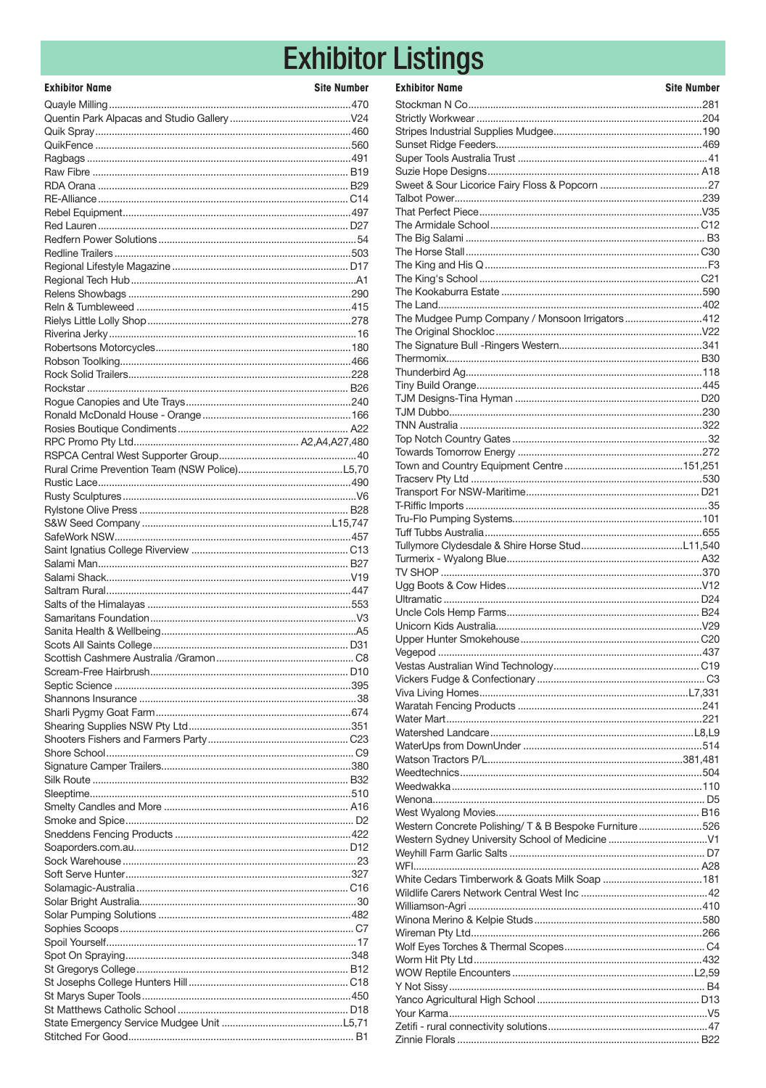# **Exhibitor Listings**

| <b>Exhibitor Name</b> | <b>Site Number</b> |
|-----------------------|--------------------|
|                       |                    |
|                       |                    |
|                       |                    |
|                       |                    |
|                       |                    |
|                       |                    |
|                       |                    |
|                       |                    |
|                       |                    |
|                       |                    |
|                       |                    |
|                       |                    |
|                       |                    |
|                       |                    |
|                       |                    |
|                       |                    |
|                       |                    |
|                       |                    |
|                       |                    |
|                       |                    |
|                       |                    |
|                       |                    |
|                       |                    |
|                       |                    |
|                       |                    |
|                       |                    |
|                       |                    |
|                       |                    |
|                       |                    |
|                       |                    |
|                       |                    |
|                       |                    |
|                       |                    |
|                       |                    |
|                       |                    |
|                       |                    |
|                       |                    |
|                       |                    |
|                       |                    |
|                       |                    |
|                       |                    |
|                       |                    |
|                       |                    |
|                       |                    |
|                       |                    |
|                       |                    |
|                       |                    |
|                       |                    |
|                       |                    |
|                       |                    |
|                       |                    |
|                       |                    |
|                       |                    |
|                       |                    |
|                       |                    |
|                       |                    |
|                       |                    |
|                       |                    |
|                       |                    |
|                       |                    |
|                       |                    |
|                       |                    |
|                       |                    |
|                       |                    |
|                       |                    |

| <b>Exhibitor Name</b>                                  | <b>Site Number</b> |
|--------------------------------------------------------|--------------------|
|                                                        |                    |
|                                                        |                    |
|                                                        |                    |
|                                                        |                    |
|                                                        |                    |
|                                                        |                    |
|                                                        |                    |
|                                                        |                    |
|                                                        |                    |
|                                                        |                    |
|                                                        |                    |
|                                                        |                    |
|                                                        |                    |
|                                                        |                    |
| The Mudgee Pump Company / Monsoon Irrigators412        |                    |
|                                                        |                    |
|                                                        |                    |
|                                                        |                    |
|                                                        |                    |
|                                                        |                    |
|                                                        |                    |
|                                                        |                    |
|                                                        |                    |
|                                                        |                    |
|                                                        |                    |
|                                                        |                    |
|                                                        |                    |
|                                                        |                    |
|                                                        |                    |
|                                                        |                    |
|                                                        |                    |
|                                                        |                    |
|                                                        |                    |
|                                                        |                    |
|                                                        |                    |
|                                                        |                    |
|                                                        |                    |
|                                                        |                    |
|                                                        |                    |
|                                                        |                    |
|                                                        |                    |
|                                                        |                    |
|                                                        |                    |
|                                                        |                    |
|                                                        |                    |
|                                                        |                    |
| Western Concrete Polishing/ T & B Bespoke Furniture526 |                    |
|                                                        |                    |
|                                                        |                    |
|                                                        |                    |
|                                                        |                    |
|                                                        |                    |
|                                                        |                    |
|                                                        |                    |
|                                                        |                    |
|                                                        |                    |
|                                                        |                    |
|                                                        |                    |
|                                                        |                    |
|                                                        |                    |
|                                                        |                    |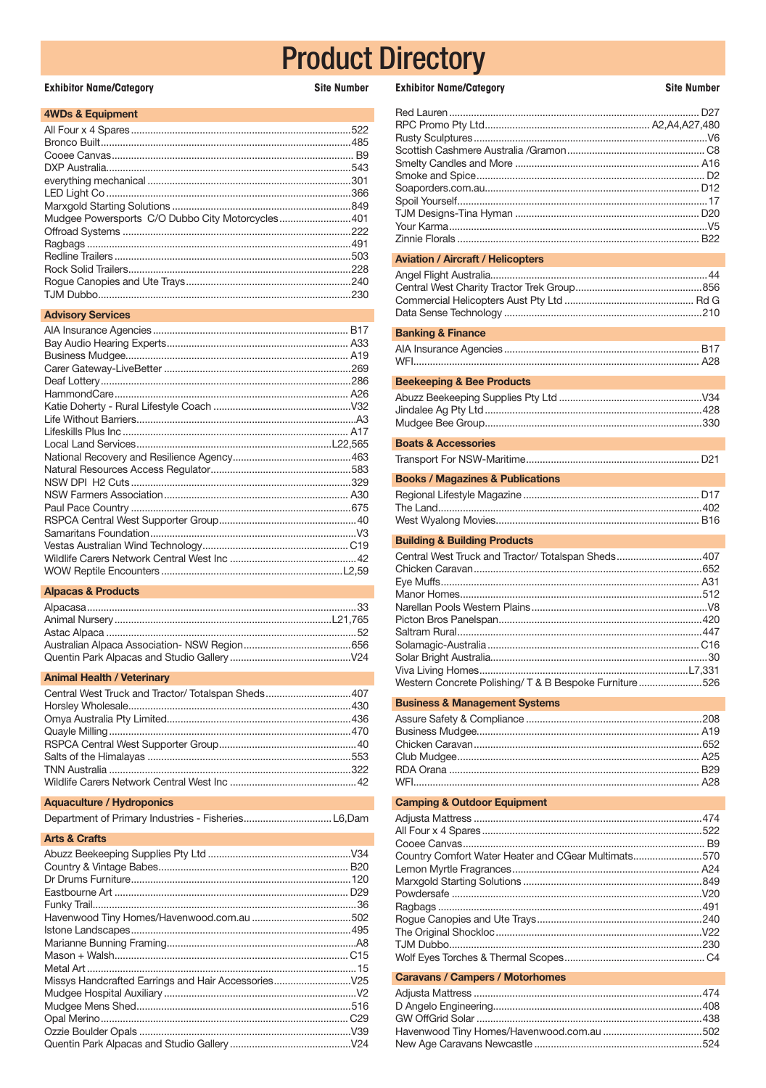**Site Number** 

### **Exhibitor Name/Category**

| 4WDs & Equipment |  |
|------------------|--|
|------------------|--|

|                                                  | .543 |
|--------------------------------------------------|------|
|                                                  | .301 |
|                                                  | .366 |
|                                                  |      |
| Mudgee Powersports C/O Dubbo City Motorcycles401 |      |
|                                                  | .222 |
|                                                  |      |
|                                                  |      |
|                                                  |      |
|                                                  | .240 |
|                                                  | .230 |
|                                                  |      |

### **Advisory Services**

#### **Alpacas & Products**

#### **Animal Health / Veterinary**

| Central West Truck and Tractor/Totalspan Sheds407 |  |
|---------------------------------------------------|--|
|                                                   |  |
|                                                   |  |
|                                                   |  |
|                                                   |  |
|                                                   |  |
|                                                   |  |
|                                                   |  |

## Aquaculture / Hydroponics

|--|--|

## **Arts & Crafts**

## **Exhibitor Name/Category**

**Site Number** 

| <b>Aviation / Aircraft / Helicopters</b>                                                                     |
|--------------------------------------------------------------------------------------------------------------|
| <b>Banking &amp; Finance</b>                                                                                 |
|                                                                                                              |
| <b>Beekeeping &amp; Bee Products</b>                                                                         |
|                                                                                                              |
| <b>Boats &amp; Accessories</b>                                                                               |
|                                                                                                              |
| <b>Books / Magazines &amp; Publications</b>                                                                  |
|                                                                                                              |
| <b>Building &amp; Building Products</b>                                                                      |
| Central West Truck and Tractor/ Totalspan Sheds407<br>Western Concrete Polishing/ T & B Bespoke Furniture526 |
| <b>Business &amp; Management Systems</b>                                                                     |
|                                                                                                              |
| <b>Camping &amp; Outdoor Equipment</b>                                                                       |
| Country Comfort Water Heater and CGear Multimats570                                                          |
| <b>Caravans / Campers / Motorhomes</b>                                                                       |
|                                                                                                              |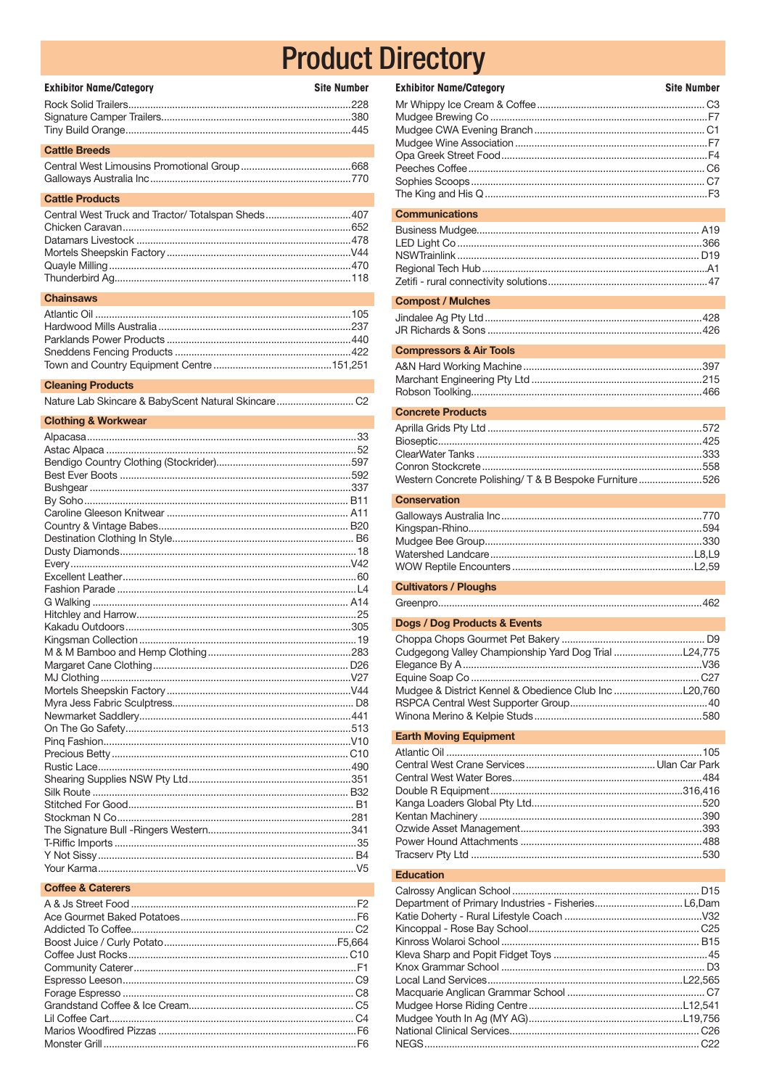| <b>Exhibitor Name/Category</b> | <b>Site Number</b> |
|--------------------------------|--------------------|
|                                |                    |
|                                |                    |
|                                |                    |
| <b>Cattle Breeds</b>           |                    |
|                                |                    |

| <b>Cattle Products</b>                            |  |
|---------------------------------------------------|--|
| Central West Truck and Tractor/Totalspan Sheds407 |  |
|                                                   |  |
|                                                   |  |
|                                                   |  |
|                                                   |  |

## **Chainsaws**

## **Cleaning Products**

|--|--|--|

## **Clothing & Workwear**

## **Coffee & Caterers**

| <b>Exhibitor Name/Category</b>                         | <b>Site Number</b> |
|--------------------------------------------------------|--------------------|
|                                                        |                    |
| <b>Communications</b>                                  |                    |
|                                                        |                    |
| <b>Compost / Mulches</b>                               |                    |
|                                                        |                    |
| <b>Compressors &amp; Air Tools</b>                     |                    |
|                                                        |                    |
| <b>Concrete Products</b>                               |                    |
| Western Concrete Polishing/ T & B Bespoke Furniture526 |                    |
| <b>Conservation</b>                                    |                    |
|                                                        |                    |
| <b>Cultivators / Ploughs</b>                           |                    |
|                                                        |                    |
| Dogs / Dog Products & Events                           |                    |
|                                                        |                    |

#### **Earth Moving Equipment**

## Education

| Department of Primary Industries - FisheriesL6,Dam |  |
|----------------------------------------------------|--|
|                                                    |  |
|                                                    |  |
|                                                    |  |
|                                                    |  |
|                                                    |  |
|                                                    |  |
|                                                    |  |
|                                                    |  |
|                                                    |  |
|                                                    |  |
|                                                    |  |
|                                                    |  |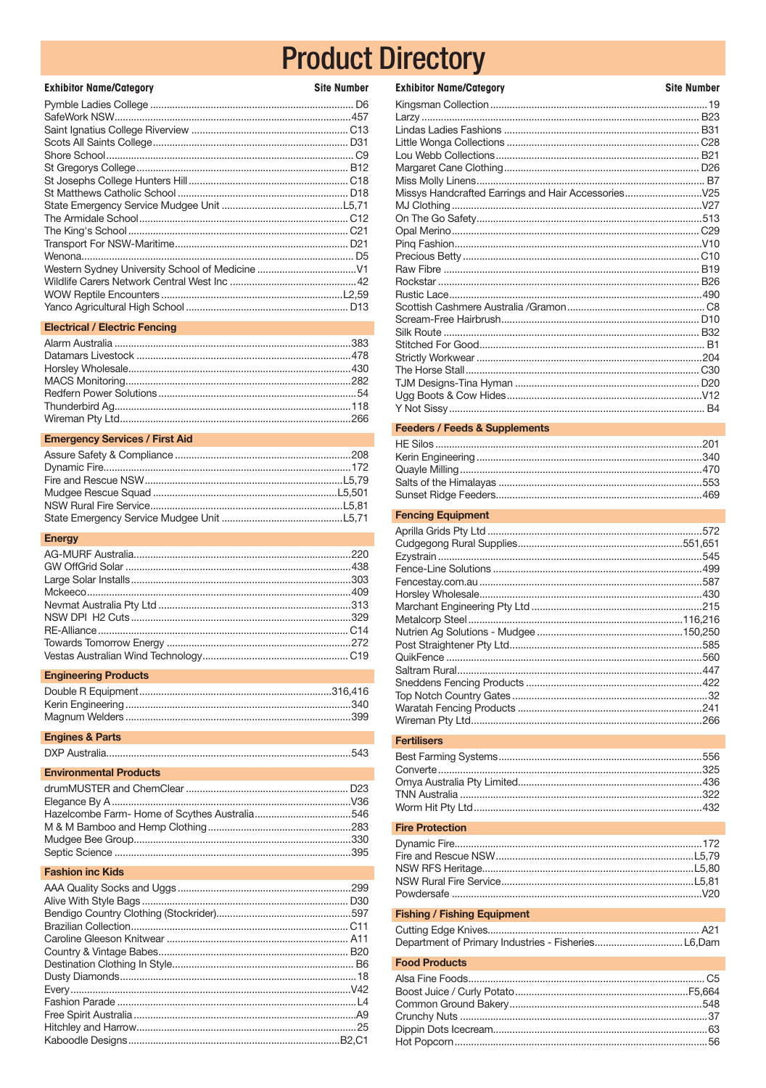| <b>Exhibitor Name/Category</b> | <b>Site Number</b> |
|--------------------------------|--------------------|
|                                |                    |
|                                |                    |
|                                |                    |
|                                |                    |
|                                |                    |
|                                |                    |
|                                |                    |
|                                |                    |
|                                |                    |
|                                |                    |
|                                |                    |
|                                |                    |
|                                |                    |
|                                |                    |
|                                |                    |
|                                |                    |
|                                |                    |
|                                |                    |

#### **Electrical / Electric Fencing**

### **Emergency Services / First Aid**

#### **Energy**

### **Engineering Products**

#### **Engines & Parts**

|--|

## **Environmental Products**

## **Fashion inc Kids**

| <b>Exhibitor Name/Category</b> | <b>Site Number</b> |
|--------------------------------|--------------------|
|                                |                    |
|                                |                    |
|                                |                    |
|                                |                    |
|                                |                    |
|                                |                    |
|                                |                    |
|                                |                    |
|                                |                    |
|                                |                    |
|                                |                    |
|                                |                    |
|                                |                    |
|                                |                    |
|                                |                    |
|                                |                    |
|                                |                    |
|                                |                    |
|                                |                    |
|                                |                    |
|                                |                    |
|                                |                    |
|                                |                    |
|                                |                    |
|                                |                    |

## **Feeders / Feeds & Supplements**

#### **Fencing Equipment**

| .545 |
|------|
|      |
|      |
|      |
|      |
|      |
|      |
|      |
|      |
|      |
|      |
|      |
|      |
|      |

#### Fertilisers

#### **Fire Protection**

#### **Fishing / Fishing Equipment**

## **Food Products**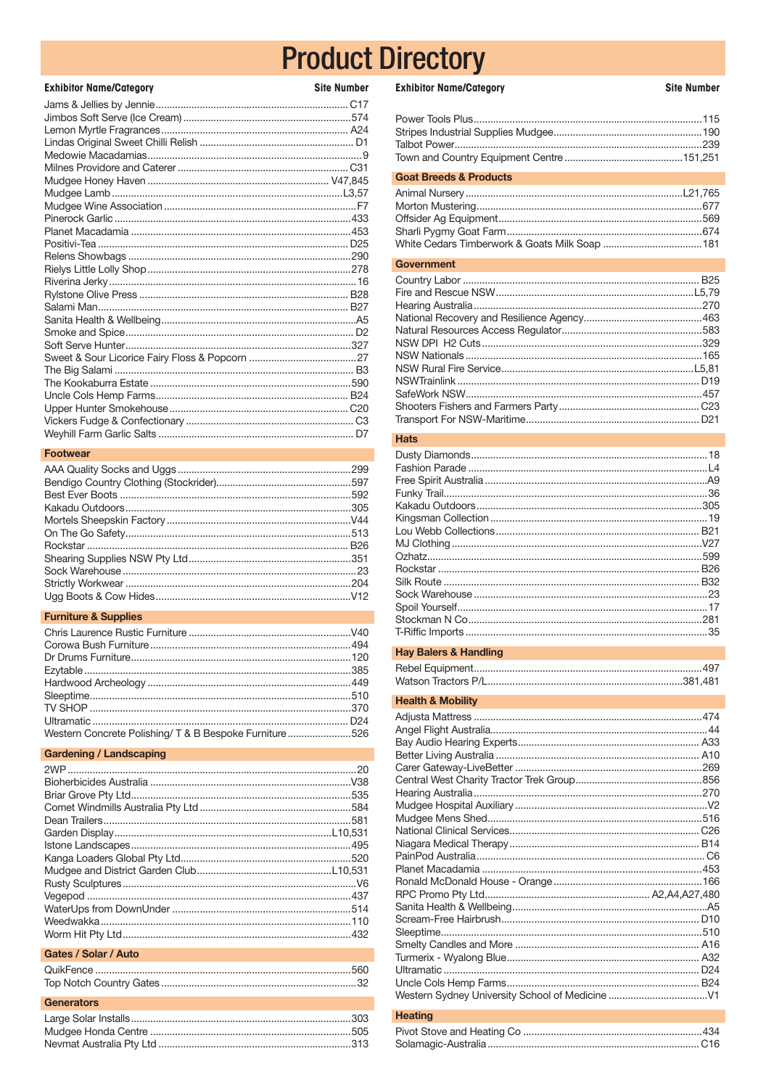| <b>Exhibitor Name/Category</b> | <b>Site Number</b> |
|--------------------------------|--------------------|
|                                |                    |
|                                |                    |
|                                |                    |
|                                |                    |
|                                |                    |
|                                |                    |
|                                |                    |
|                                |                    |
|                                |                    |
|                                |                    |
|                                |                    |
|                                |                    |
|                                |                    |
|                                |                    |
|                                |                    |
|                                |                    |
|                                |                    |
|                                |                    |
|                                |                    |
|                                |                    |
|                                |                    |
|                                |                    |
|                                |                    |
|                                |                    |
|                                |                    |
|                                |                    |
|                                |                    |

## Footwear

## **Furniture & Supplies**

| Western Concrete Polishing/ T & B Bespoke Furniture526 |  |
|--------------------------------------------------------|--|

## **Gardening / Landscaping**

## Gates / Solar / Auto

## Generators

## **Exhibitor Name/Category**

**Site Number** 

| <b>Goat Breeds &amp; Products</b> |  |
|-----------------------------------|--|
|                                   |  |
| Government                        |  |

## **Hats**

#### **Hay Balers & Handling**

## **Health & Mobility**

| $Hint$ |  |
|--------|--|

#### Heating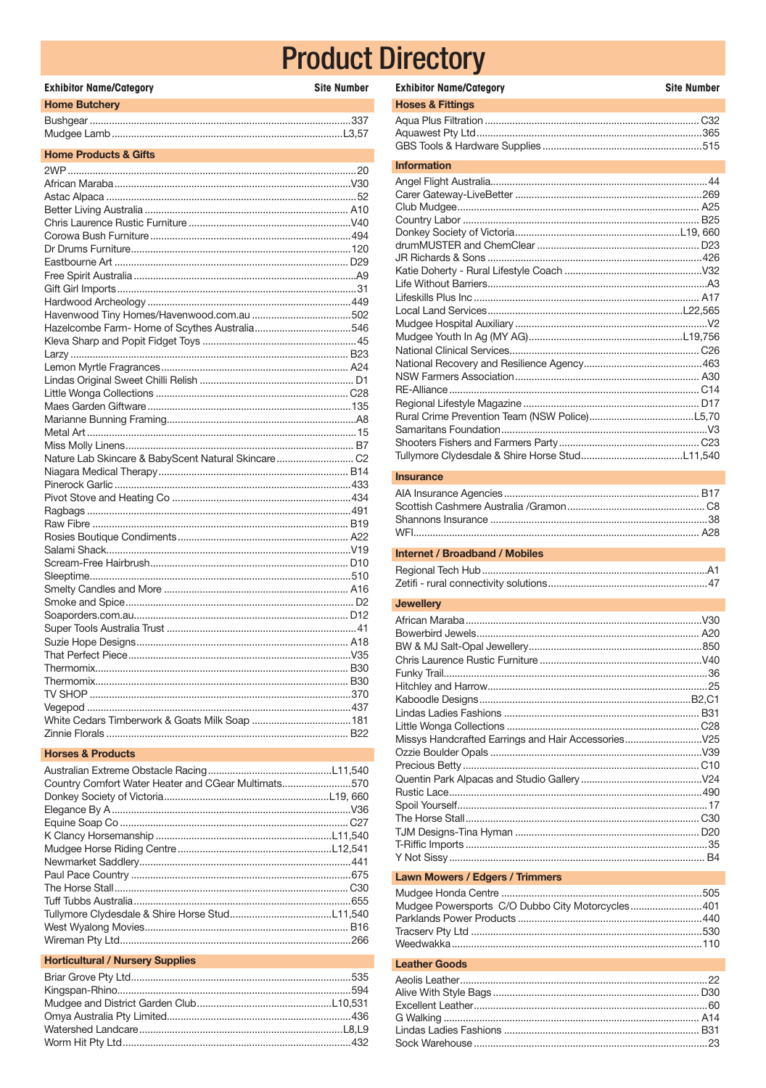| <b>Exhibitor Name/Category</b>                      | <b>Site Number</b> |
|-----------------------------------------------------|--------------------|
| <b>Home Butchery</b>                                |                    |
|                                                     |                    |
|                                                     |                    |
| <b>Home Products &amp; Gifts</b>                    |                    |
|                                                     |                    |
|                                                     |                    |
|                                                     |                    |
|                                                     |                    |
|                                                     |                    |
|                                                     |                    |
|                                                     |                    |
|                                                     |                    |
|                                                     |                    |
|                                                     |                    |
|                                                     |                    |
|                                                     |                    |
|                                                     |                    |
|                                                     |                    |
|                                                     |                    |
|                                                     |                    |
|                                                     |                    |
|                                                     |                    |
|                                                     |                    |
|                                                     |                    |
|                                                     |                    |
|                                                     |                    |
| Nature Lab Skincare & BabyScent Natural Skincare C2 |                    |
|                                                     |                    |
|                                                     |                    |
|                                                     |                    |
|                                                     |                    |
|                                                     |                    |
|                                                     |                    |
|                                                     |                    |
|                                                     |                    |
|                                                     |                    |
|                                                     |                    |
|                                                     |                    |
|                                                     |                    |
|                                                     |                    |
|                                                     |                    |
|                                                     |                    |
|                                                     |                    |
|                                                     |                    |
|                                                     |                    |
|                                                     |                    |
|                                                     |                    |
|                                                     |                    |
| <b>Horses &amp; Products</b>                        |                    |

| Country Comfort Water Heater and CGear Multimats570 |  |
|-----------------------------------------------------|--|
|                                                     |  |
|                                                     |  |
|                                                     |  |
|                                                     |  |
|                                                     |  |
|                                                     |  |
|                                                     |  |
|                                                     |  |
|                                                     |  |
|                                                     |  |
|                                                     |  |
|                                                     |  |
|                                                     |  |
|                                                     |  |

## **Horticultural / Nursery Supplies**

| <b>Exhibitor Name/Category</b> | <b>Site Number</b> |
|--------------------------------|--------------------|
| <b>Hoses &amp; Fittings</b>    |                    |
|                                |                    |
| <b>Information</b>             |                    |
|                                |                    |
|                                |                    |
|                                |                    |

#### Insurance

#### **Internet / Broadband / Mobiles**

## Jewellery

#### **Lawn Mowers / Edgers / Trimmers**

| Mudgee Powersports C/O Dubbo City Motorcycles401 |  |
|--------------------------------------------------|--|
|                                                  |  |
|                                                  |  |
|                                                  |  |

## **Leather Goods**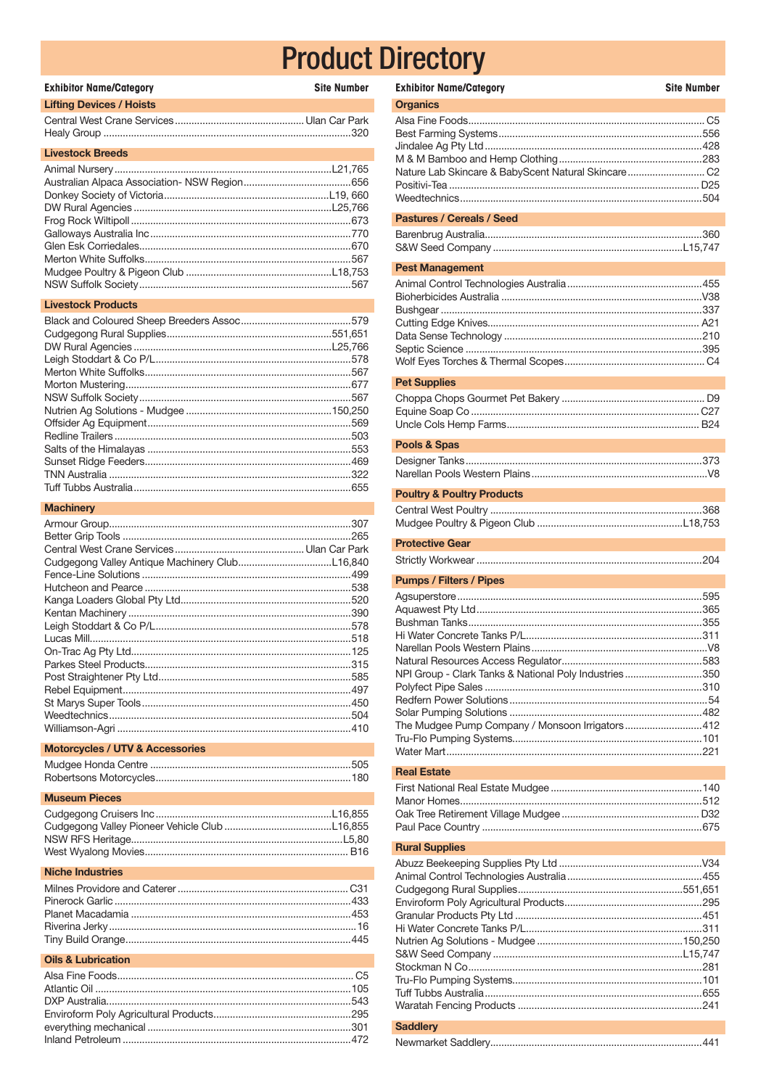| <b>Exhibitor Name/Category</b><br><b>Site Number</b> |
|------------------------------------------------------|
| <b>Lifting Devices / Hoists</b>                      |
|                                                      |
| <b>Livestock Breeds</b>                              |
|                                                      |
| <b>Livestock Products</b>                            |
|                                                      |

#### **Machinery**

## Motorcycles / UTV & Accessories

## **Museum Pieces**

## **Niche Industries**

## **Oils & Lubrication**

| <b>Exhibitor Name/Category</b>                                                                           | <b>Site Number</b> |
|----------------------------------------------------------------------------------------------------------|--------------------|
| <b>Organics</b>                                                                                          |                    |
|                                                                                                          |                    |
| <b>Pastures / Cereals / Seed</b>                                                                         |                    |
|                                                                                                          |                    |
| <b>Pest Management</b>                                                                                   |                    |
|                                                                                                          |                    |
| <b>Pet Supplies</b>                                                                                      |                    |
|                                                                                                          |                    |
| Pools & Spas                                                                                             |                    |
|                                                                                                          |                    |
| <b>Poultry &amp; Poultry Products</b>                                                                    |                    |
|                                                                                                          |                    |
| <b>Protective Gear</b>                                                                                   |                    |
|                                                                                                          |                    |
| <b>Pumps / Filters / Pipes</b>                                                                           |                    |
| NPI Group - Clark Tanks & National Poly Industries350<br>The Mudgee Pump Company / Monsoon Irrigators412 |                    |
| <b>Real Estate</b>                                                                                       |                    |
|                                                                                                          |                    |
| <b>Rural Supplies</b>                                                                                    |                    |
|                                                                                                          |                    |
| <b>Saddlery</b>                                                                                          |                    |
|                                                                                                          |                    |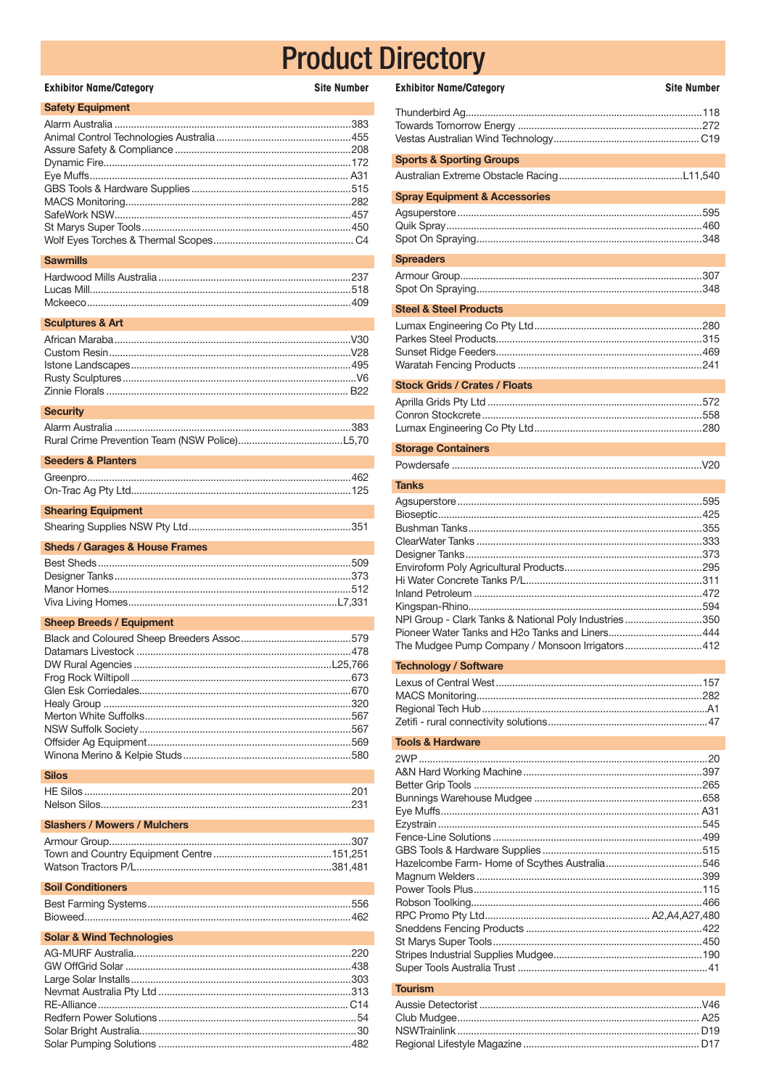| <b>Exhibitor Name/Category</b> | <b>Site Number</b> |
|--------------------------------|--------------------|
| <b>Safety Equipment</b>        |                    |
|                                | .383               |
|                                |                    |
|                                |                    |
|                                |                    |
|                                |                    |
|                                |                    |
|                                |                    |
|                                |                    |
|                                |                    |
|                                |                    |
|                                |                    |

#### **Sawmills**

## **Sculptures & Art**

#### **Security**

| Seeders & Planters |  |
|--------------------|--|
|                    |  |
|                    |  |
|                    |  |

### **Shearing Equipment**

## **Sheds / Garages & House Frames**

## **Sheep Breeds / Equipment**

#### **Silos**

| Sidsfiers / Mowers / Mulchers |  |
|-------------------------------|--|
|                               |  |
|                               |  |
|                               |  |

#### **Soil Conditioners**

## **Solar & Wind Technologies**

 $I$  Massesser  $I$  Masses

| <b>Exhibitor Name/Category</b>           | <b>Site Number</b> |
|------------------------------------------|--------------------|
|                                          |                    |
| <b>Sports &amp; Sporting Groups</b>      |                    |
|                                          |                    |
| <b>Spray Equipment &amp; Accessories</b> |                    |
|                                          |                    |
| <b>Spreaders</b>                         |                    |
|                                          |                    |
| <b>Steel &amp; Steel Products</b>        |                    |
|                                          |                    |
| <b>Stock Grids / Crates / Floats</b>     |                    |
|                                          |                    |
| <b>Storage Containers</b>                |                    |
|                                          |                    |
| <b>Tanks</b>                             |                    |
|                                          |                    |

| NPI Group - Clark Tanks & National Poly Industries350 |  |
|-------------------------------------------------------|--|
| Pioneer Water Tanks and H2o Tanks and Liners444       |  |
| The Mudgee Pump Company / Monsoon Irrigators412       |  |

#### **Technology / Software**

#### **Tools & Hardware**

## **Tourism**